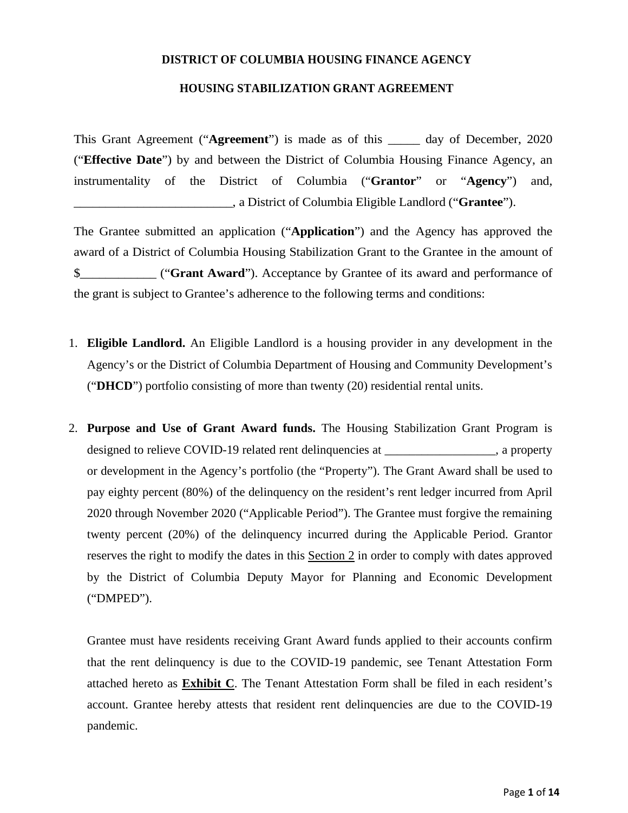## **DISTRICT OF COLUMBIA HOUSING FINANCE AGENCY**

#### **HOUSING STABILIZATION GRANT AGREEMENT**

This Grant Agreement ("**Agreement**") is made as of this \_\_\_\_\_ day of December, 2020 ("**Effective Date**") by and between the District of Columbia Housing Finance Agency, an instrumentality of the District of Columbia ("**Grantor**" or "**Agency**") and, \_\_\_\_\_\_\_\_\_\_\_\_\_\_\_\_\_\_\_\_\_\_\_\_\_, a District of Columbia Eligible Landlord ("**Grantee**").

The Grantee submitted an application ("**Application**") and the Agency has approved the award of a District of Columbia Housing Stabilization Grant to the Grantee in the amount of \$\_\_\_\_\_\_\_\_\_\_\_\_ ("**Grant Award**"). Acceptance by Grantee of its award and performance of the grant is subject to Grantee's adherence to the following terms and conditions:

- 1. **Eligible Landlord.** An Eligible Landlord is a housing provider in any development in the Agency's or the District of Columbia Department of Housing and Community Development's ("**DHCD**") portfolio consisting of more than twenty (20) residential rental units.
- 2. **Purpose and Use of Grant Award funds.** The Housing Stabilization Grant Program is designed to relieve COVID-19 related rent delinquencies at \_\_\_\_\_\_\_\_\_\_\_\_\_\_\_\_\_\_, a property or development in the Agency's portfolio (the "Property"). The Grant Award shall be used to pay eighty percent (80%) of the delinquency on the resident's rent ledger incurred from April 2020 through November 2020 ("Applicable Period"). The Grantee must forgive the remaining twenty percent (20%) of the delinquency incurred during the Applicable Period. Grantor reserves the right to modify the dates in this Section 2 in order to comply with dates approved by the District of Columbia Deputy Mayor for Planning and Economic Development ("DMPED").

Grantee must have residents receiving Grant Award funds applied to their accounts confirm that the rent delinquency is due to the COVID-19 pandemic, see Tenant Attestation Form attached hereto as **Exhibit C**. The Tenant Attestation Form shall be filed in each resident's account. Grantee hereby attests that resident rent delinquencies are due to the COVID-19 pandemic.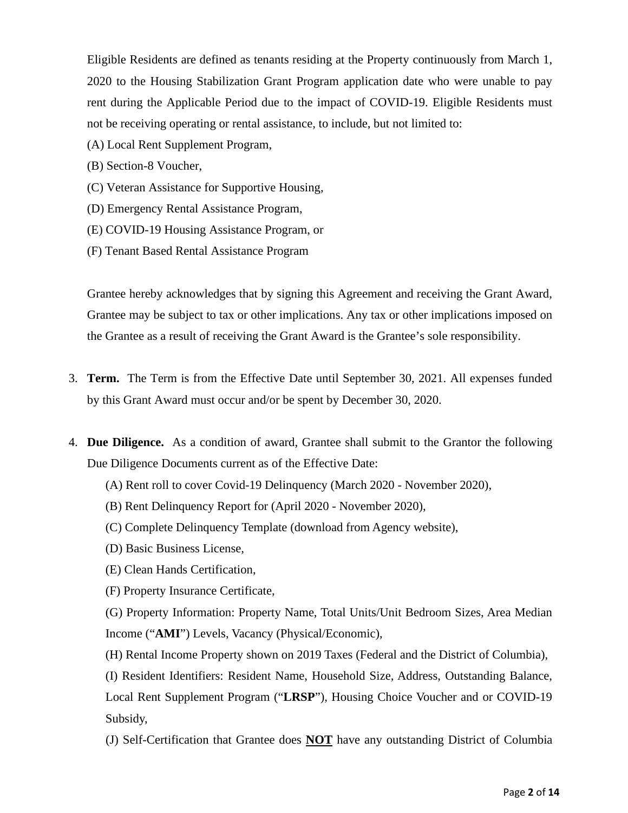Eligible Residents are defined as tenants residing at the Property continuously from March 1, 2020 to the Housing Stabilization Grant Program application date who were unable to pay rent during the Applicable Period due to the impact of COVID-19. Eligible Residents must not be receiving operating or rental assistance, to include, but not limited to:

- (A) Local Rent Supplement Program,
- (B) Section-8 Voucher,
- (C) Veteran Assistance for Supportive Housing,
- (D) Emergency Rental Assistance Program,
- (E) COVID-19 Housing Assistance Program, or
- (F) Tenant Based Rental Assistance Program

Grantee hereby acknowledges that by signing this Agreement and receiving the Grant Award, Grantee may be subject to tax or other implications. Any tax or other implications imposed on the Grantee as a result of receiving the Grant Award is the Grantee's sole responsibility.

- 3. **Term.** The Term is from the Effective Date until September 30, 2021. All expenses funded by this Grant Award must occur and/or be spent by December 30, 2020.
- 4. **Due Diligence.** As a condition of award, Grantee shall submit to the Grantor the following Due Diligence Documents current as of the Effective Date:
	- (A) Rent roll to cover Covid-19 Delinquency (March 2020 November 2020),
	- (B) Rent Delinquency Report for (April 2020 November 2020),
	- (C) Complete Delinquency Template (download from Agency website),
	- (D) Basic Business License,
	- (E) Clean Hands Certification,
	- (F) Property Insurance Certificate,

(G) Property Information: Property Name, Total Units/Unit Bedroom Sizes, Area Median Income ("**AMI**") Levels, Vacancy (Physical/Economic),

(H) Rental Income Property shown on 2019 Taxes (Federal and the District of Columbia),

(I) Resident Identifiers: Resident Name, Household Size, Address, Outstanding Balance, Local Rent Supplement Program ("**LRSP**"), Housing Choice Voucher and or COVID-19 Subsidy,

(J) Self-Certification that Grantee does **NOT** have any outstanding District of Columbia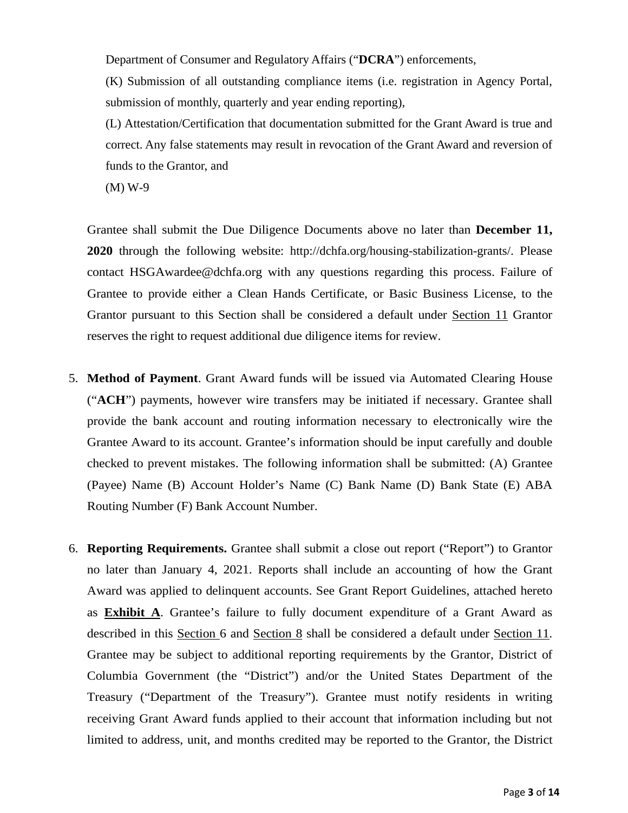Department of Consumer and Regulatory Affairs ("**DCRA**") enforcements,

(K) Submission of all outstanding compliance items (i.e. registration in Agency Portal, submission of monthly, quarterly and year ending reporting),

(L) Attestation/Certification that documentation submitted for the Grant Award is true and correct. Any false statements may result in revocation of the Grant Award and reversion of funds to the Grantor, and

(M) W-9

Grantee shall submit the Due Diligence Documents above no later than **December 11, 2020** through the following website: http://dchfa.org/housing-stabilization-grants/. Please contact HSGAwardee@dchfa.org with any questions regarding this process. Failure of Grantee to provide either a Clean Hands Certificate, or Basic Business License, to the Grantor pursuant to this Section shall be considered a default under Section 11 Grantor reserves the right to request additional due diligence items for review.

- 5. **Method of Payment**. Grant Award funds will be issued via Automated Clearing House ("**ACH**") payments, however wire transfers may be initiated if necessary. Grantee shall provide the bank account and routing information necessary to electronically wire the Grantee Award to its account. Grantee's information should be input carefully and double checked to prevent mistakes. The following information shall be submitted: (A) Grantee (Payee) Name (B) Account Holder's Name (C) Bank Name (D) Bank State (E) ABA Routing Number (F) Bank Account Number.
- 6. **Reporting Requirements.** Grantee shall submit a close out report ("Report") to Grantor no later than January 4, 2021. Reports shall include an accounting of how the Grant Award was applied to delinquent accounts. See Grant Report Guidelines, attached hereto as **Exhibit A**. Grantee's failure to fully document expenditure of a Grant Award as described in this Section 6 and Section 8 shall be considered a default under Section 11. Grantee may be subject to additional reporting requirements by the Grantor, District of Columbia Government (the "District") and/or the United States Department of the Treasury ("Department of the Treasury"). Grantee must notify residents in writing receiving Grant Award funds applied to their account that information including but not limited to address, unit, and months credited may be reported to the Grantor, the District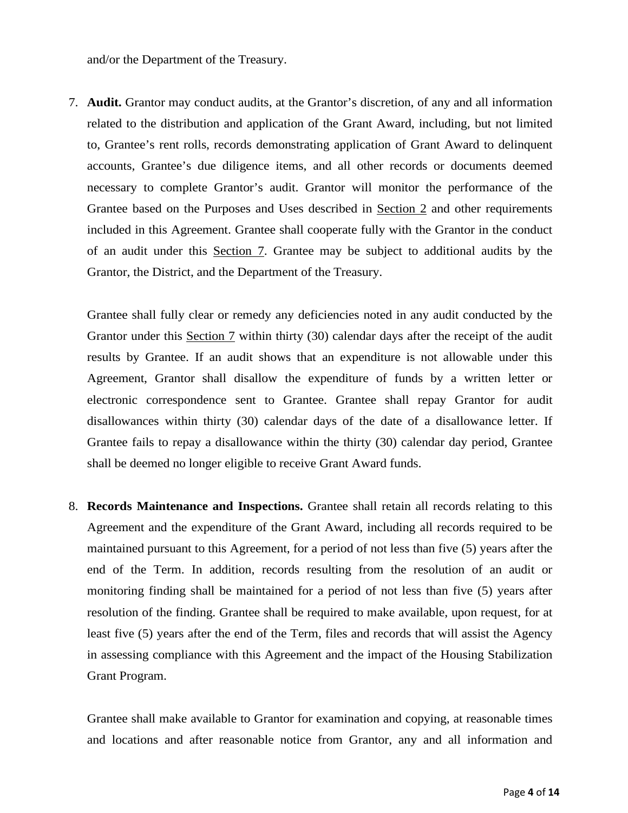and/or the Department of the Treasury.

7. **Audit.** Grantor may conduct audits, at the Grantor's discretion, of any and all information related to the distribution and application of the Grant Award, including, but not limited to, Grantee's rent rolls, records demonstrating application of Grant Award to delinquent accounts, Grantee's due diligence items, and all other records or documents deemed necessary to complete Grantor's audit. Grantor will monitor the performance of the Grantee based on the Purposes and Uses described in Section 2 and other requirements included in this Agreement. Grantee shall cooperate fully with the Grantor in the conduct of an audit under this Section 7. Grantee may be subject to additional audits by the Grantor, the District, and the Department of the Treasury.

Grantee shall fully clear or remedy any deficiencies noted in any audit conducted by the Grantor under this Section 7 within thirty (30) calendar days after the receipt of the audit results by Grantee. If an audit shows that an expenditure is not allowable under this Agreement, Grantor shall disallow the expenditure of funds by a written letter or electronic correspondence sent to Grantee. Grantee shall repay Grantor for audit disallowances within thirty (30) calendar days of the date of a disallowance letter. If Grantee fails to repay a disallowance within the thirty (30) calendar day period, Grantee shall be deemed no longer eligible to receive Grant Award funds.

8. **Records Maintenance and Inspections.** Grantee shall retain all records relating to this Agreement and the expenditure of the Grant Award, including all records required to be maintained pursuant to this Agreement, for a period of not less than five (5) years after the end of the Term. In addition, records resulting from the resolution of an audit or monitoring finding shall be maintained for a period of not less than five (5) years after resolution of the finding. Grantee shall be required to make available, upon request, for at least five (5) years after the end of the Term, files and records that will assist the Agency in assessing compliance with this Agreement and the impact of the Housing Stabilization Grant Program.

Grantee shall make available to Grantor for examination and copying, at reasonable times and locations and after reasonable notice from Grantor, any and all information and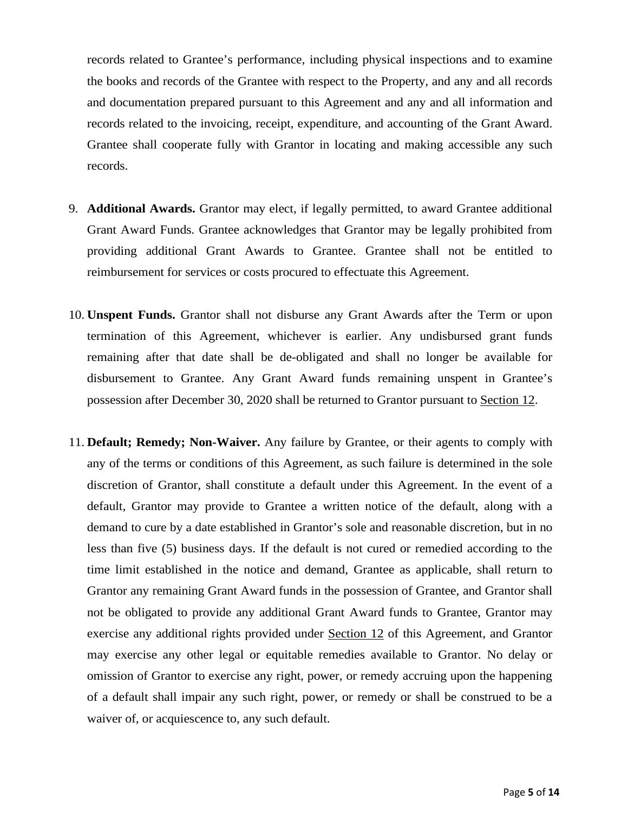records related to Grantee's performance, including physical inspections and to examine the books and records of the Grantee with respect to the Property, and any and all records and documentation prepared pursuant to this Agreement and any and all information and records related to the invoicing, receipt, expenditure, and accounting of the Grant Award. Grantee shall cooperate fully with Grantor in locating and making accessible any such records.

- 9. **Additional Awards.** Grantor may elect, if legally permitted, to award Grantee additional Grant Award Funds. Grantee acknowledges that Grantor may be legally prohibited from providing additional Grant Awards to Grantee. Grantee shall not be entitled to reimbursement for services or costs procured to effectuate this Agreement.
- 10. **Unspent Funds.** Grantor shall not disburse any Grant Awards after the Term or upon termination of this Agreement, whichever is earlier. Any undisbursed grant funds remaining after that date shall be de-obligated and shall no longer be available for disbursement to Grantee. Any Grant Award funds remaining unspent in Grantee's possession after December 30, 2020 shall be returned to Grantor pursuant to Section 12.
- 11. **Default; Remedy; Non-Waiver.** Any failure by Grantee, or their agents to comply with any of the terms or conditions of this Agreement, as such failure is determined in the sole discretion of Grantor, shall constitute a default under this Agreement. In the event of a default, Grantor may provide to Grantee a written notice of the default, along with a demand to cure by a date established in Grantor's sole and reasonable discretion, but in no less than five (5) business days. If the default is not cured or remedied according to the time limit established in the notice and demand, Grantee as applicable, shall return to Grantor any remaining Grant Award funds in the possession of Grantee, and Grantor shall not be obligated to provide any additional Grant Award funds to Grantee, Grantor may exercise any additional rights provided under Section 12 of this Agreement, and Grantor may exercise any other legal or equitable remedies available to Grantor. No delay or omission of Grantor to exercise any right, power, or remedy accruing upon the happening of a default shall impair any such right, power, or remedy or shall be construed to be a waiver of, or acquiescence to, any such default.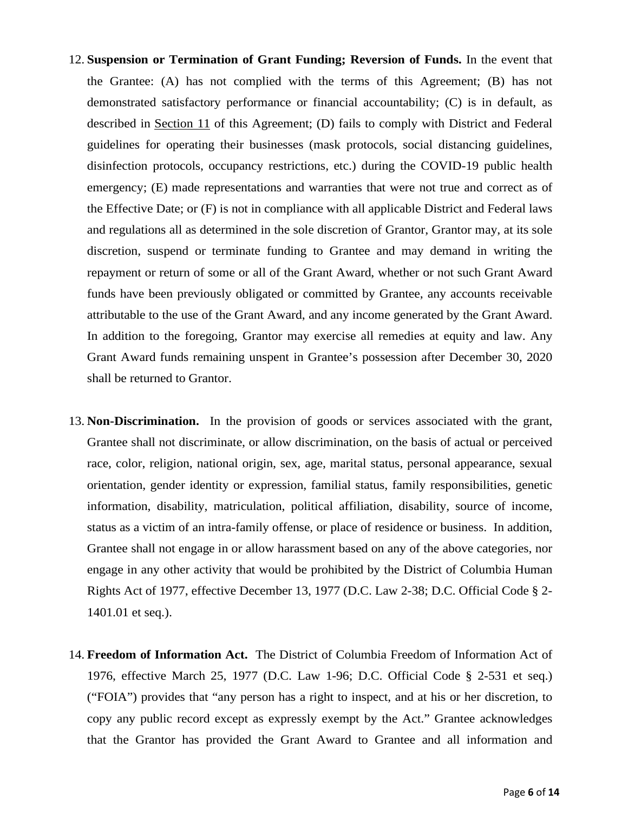- 12. **Suspension or Termination of Grant Funding; Reversion of Funds.** In the event that the Grantee: (A) has not complied with the terms of this Agreement; (B) has not demonstrated satisfactory performance or financial accountability; (C) is in default, as described in Section 11 of this Agreement; (D) fails to comply with District and Federal guidelines for operating their businesses (mask protocols, social distancing guidelines, disinfection protocols, occupancy restrictions, etc.) during the COVID-19 public health emergency; (E) made representations and warranties that were not true and correct as of the Effective Date; or (F) is not in compliance with all applicable District and Federal laws and regulations all as determined in the sole discretion of Grantor, Grantor may, at its sole discretion, suspend or terminate funding to Grantee and may demand in writing the repayment or return of some or all of the Grant Award, whether or not such Grant Award funds have been previously obligated or committed by Grantee, any accounts receivable attributable to the use of the Grant Award, and any income generated by the Grant Award. In addition to the foregoing, Grantor may exercise all remedies at equity and law. Any Grant Award funds remaining unspent in Grantee's possession after December 30, 2020 shall be returned to Grantor.
- 13. **Non-Discrimination.** In the provision of goods or services associated with the grant, Grantee shall not discriminate, or allow discrimination, on the basis of actual or perceived race, color, religion, national origin, sex, age, marital status, personal appearance, sexual orientation, gender identity or expression, familial status, family responsibilities, genetic information, disability, matriculation, political affiliation, disability, source of income, status as a victim of an intra-family offense, or place of residence or business. In addition, Grantee shall not engage in or allow harassment based on any of the above categories, nor engage in any other activity that would be prohibited by the District of Columbia Human Rights Act of 1977, effective December 13, 1977 (D.C. Law 2-38; D.C. Official Code § 2- 1401.01 et seq.).
- 14. **Freedom of Information Act.** The District of Columbia Freedom of Information Act of 1976, effective March 25, 1977 (D.C. Law 1-96; D.C. Official Code § 2-531 et seq.) ("FOIA") provides that "any person has a right to inspect, and at his or her discretion, to copy any public record except as expressly exempt by the Act." Grantee acknowledges that the Grantor has provided the Grant Award to Grantee and all information and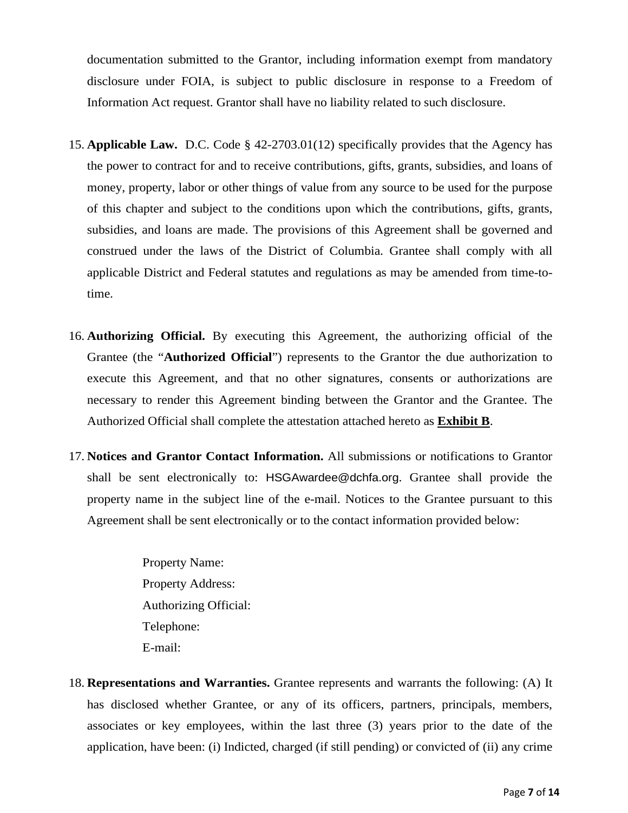documentation submitted to the Grantor, including information exempt from mandatory disclosure under FOIA, is subject to public disclosure in response to a Freedom of Information Act request. Grantor shall have no liability related to such disclosure.

- 15. **Applicable Law.** D.C. Code § 42-2703.01(12) specifically provides that the Agency has the power to contract for and to receive contributions, gifts, grants, subsidies, and loans of money, property, labor or other things of value from any source to be used for the purpose of this chapter and subject to the conditions upon which the contributions, gifts, grants, subsidies, and loans are made. The provisions of this Agreement shall be governed and construed under the laws of the District of Columbia. Grantee shall comply with all applicable District and Federal statutes and regulations as may be amended from time-totime.
- 16. **Authorizing Official.** By executing this Agreement, the authorizing official of the Grantee (the "**Authorized Official**") represents to the Grantor the due authorization to execute this Agreement, and that no other signatures, consents or authorizations are necessary to render this Agreement binding between the Grantor and the Grantee. The Authorized Official shall complete the attestation attached hereto as **Exhibit B**.
- 17. **Notices and Grantor Contact Information.** All submissions or notifications to Grantor shall be sent electronically to: HSGAwardee@dchfa.org. Grantee shall provide the property name in the subject line of the e-mail. Notices to the Grantee pursuant to this Agreement shall be sent electronically or to the contact information provided below:

Property Name: Property Address: Authorizing Official: Telephone: E-mail:

18. **Representations and Warranties.** Grantee represents and warrants the following: (A) It has disclosed whether Grantee, or any of its officers, partners, principals, members, associates or key employees, within the last three (3) years prior to the date of the application, have been: (i) Indicted, charged (if still pending) or convicted of (ii) any crime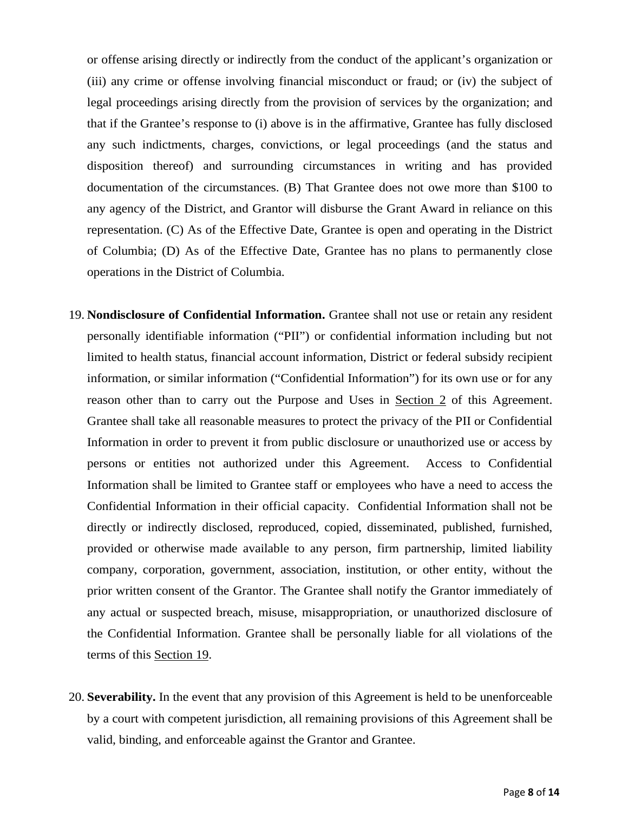or offense arising directly or indirectly from the conduct of the applicant's organization or (iii) any crime or offense involving financial misconduct or fraud; or (iv) the subject of legal proceedings arising directly from the provision of services by the organization; and that if the Grantee's response to (i) above is in the affirmative, Grantee has fully disclosed any such indictments, charges, convictions, or legal proceedings (and the status and disposition thereof) and surrounding circumstances in writing and has provided documentation of the circumstances. (B) That Grantee does not owe more than \$100 to any agency of the District, and Grantor will disburse the Grant Award in reliance on this representation. (C) As of the Effective Date, Grantee is open and operating in the District of Columbia; (D) As of the Effective Date, Grantee has no plans to permanently close operations in the District of Columbia.

- 19. **Nondisclosure of Confidential Information.** Grantee shall not use or retain any resident personally identifiable information ("PII") or confidential information including but not limited to health status, financial account information, District or federal subsidy recipient information, or similar information ("Confidential Information") for its own use or for any reason other than to carry out the Purpose and Uses in Section 2 of this Agreement. Grantee shall take all reasonable measures to protect the privacy of the PII or Confidential Information in order to prevent it from public disclosure or unauthorized use or access by persons or entities not authorized under this Agreement. Access to Confidential Information shall be limited to Grantee staff or employees who have a need to access the Confidential Information in their official capacity. Confidential Information shall not be directly or indirectly disclosed, reproduced, copied, disseminated, published, furnished, provided or otherwise made available to any person, firm partnership, limited liability company, corporation, government, association, institution, or other entity, without the prior written consent of the Grantor. The Grantee shall notify the Grantor immediately of any actual or suspected breach, misuse, misappropriation, or unauthorized disclosure of the Confidential Information. Grantee shall be personally liable for all violations of the terms of this Section 19.
- 20. **Severability.** In the event that any provision of this Agreement is held to be unenforceable by a court with competent jurisdiction, all remaining provisions of this Agreement shall be valid, binding, and enforceable against the Grantor and Grantee.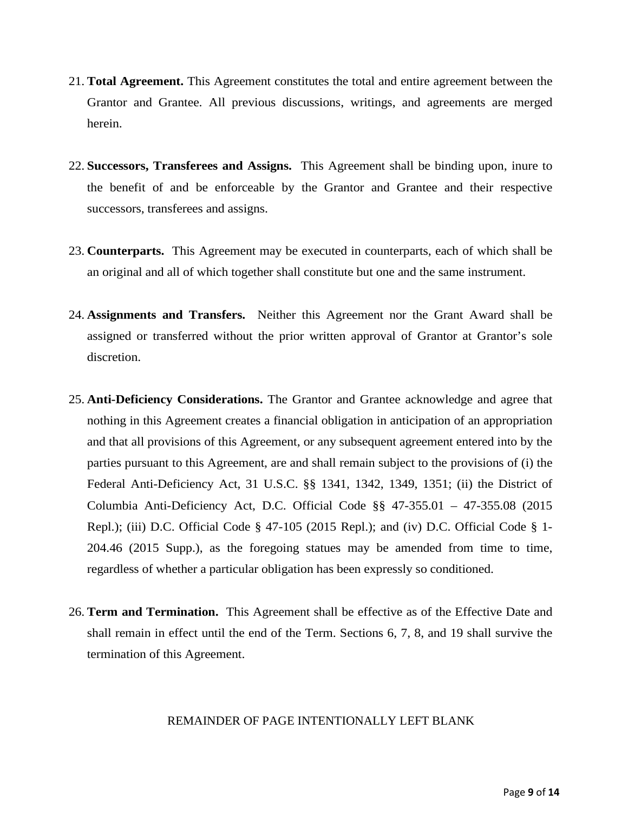- 21. **Total Agreement.** This Agreement constitutes the total and entire agreement between the Grantor and Grantee. All previous discussions, writings, and agreements are merged herein.
- 22. **Successors, Transferees and Assigns.** This Agreement shall be binding upon, inure to the benefit of and be enforceable by the Grantor and Grantee and their respective successors, transferees and assigns.
- 23. **Counterparts.** This Agreement may be executed in counterparts, each of which shall be an original and all of which together shall constitute but one and the same instrument.
- 24. **Assignments and Transfers.** Neither this Agreement nor the Grant Award shall be assigned or transferred without the prior written approval of Grantor at Grantor's sole discretion.
- 25. **Anti-Deficiency Considerations.** The Grantor and Grantee acknowledge and agree that nothing in this Agreement creates a financial obligation in anticipation of an appropriation and that all provisions of this Agreement, or any subsequent agreement entered into by the parties pursuant to this Agreement, are and shall remain subject to the provisions of (i) the Federal Anti-Deficiency Act, 31 U.S.C. §§ 1341, 1342, 1349, 1351; (ii) the District of Columbia Anti-Deficiency Act, D.C. Official Code §§ 47-355.01 – 47-355.08 (2015 Repl.); (iii) D.C. Official Code § 47-105 (2015 Repl.); and (iv) D.C. Official Code § 1- 204.46 (2015 Supp.), as the foregoing statues may be amended from time to time, regardless of whether a particular obligation has been expressly so conditioned.
- 26. **Term and Termination.** This Agreement shall be effective as of the Effective Date and shall remain in effect until the end of the Term. Sections 6, 7, 8, and 19 shall survive the termination of this Agreement.

#### REMAINDER OF PAGE INTENTIONALLY LEFT BLANK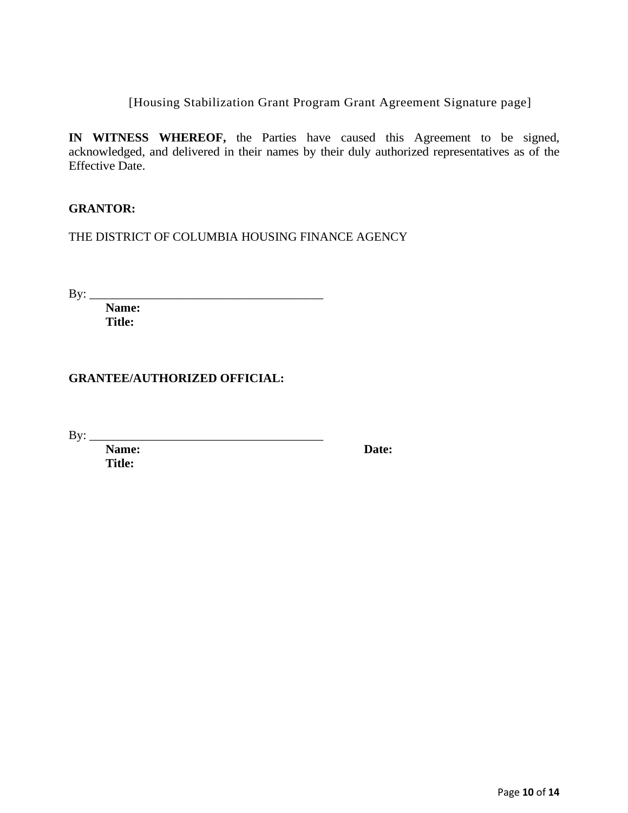[Housing Stabilization Grant Program Grant Agreement Signature page]

**IN WITNESS WHEREOF,** the Parties have caused this Agreement to be signed, acknowledged, and delivered in their names by their duly authorized representatives as of the Effective Date.

# **GRANTOR:**

THE DISTRICT OF COLUMBIA HOUSING FINANCE AGENCY

By: \_\_\_\_\_\_\_\_\_\_\_\_\_\_\_\_\_\_\_\_\_\_\_\_\_\_\_\_\_\_\_\_\_\_\_\_\_\_

 **Name: Title:**

# **GRANTEE/AUTHORIZED OFFICIAL:**

 $By:$ 

**Name: Date: Title:**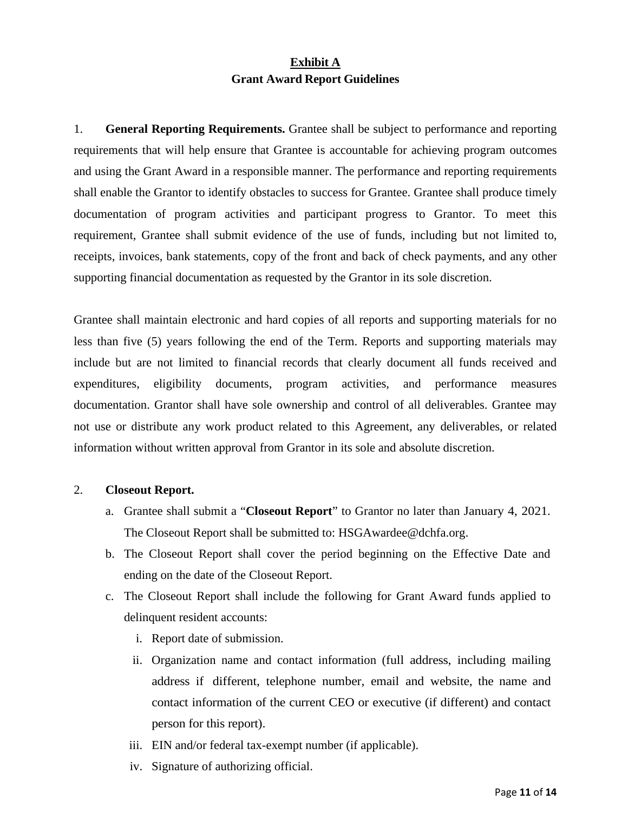# **Exhibit A Grant Award Report Guidelines**

1. **General Reporting Requirements.** Grantee shall be subject to performance and reporting requirements that will help ensure that Grantee is accountable for achieving program outcomes and using the Grant Award in a responsible manner. The performance and reporting requirements shall enable the Grantor to identify obstacles to success for Grantee. Grantee shall produce timely documentation of program activities and participant progress to Grantor. To meet this requirement, Grantee shall submit evidence of the use of funds, including but not limited to, receipts, invoices, bank statements, copy of the front and back of check payments, and any other supporting financial documentation as requested by the Grantor in its sole discretion.

Grantee shall maintain electronic and hard copies of all reports and supporting materials for no less than five (5) years following the end of the Term. Reports and supporting materials may include but are not limited to financial records that clearly document all funds received and expenditures, eligibility documents, program activities, and performance measures documentation. Grantor shall have sole ownership and control of all deliverables. Grantee may not use or distribute any work product related to this Agreement, any deliverables, or related information without written approval from Grantor in its sole and absolute discretion.

### 2. **Closeout Report.**

- a. Grantee shall submit a "**Closeout Report**" to Grantor no later than January 4, 2021. The Closeout Report shall be submitted to: [HSGAwardee@dchfa.org.](mailto:HSGAwardee@dchfa.org)
- b. The Closeout Report shall cover the period beginning on the Effective Date and ending on the date of the Closeout Report.
- c. The Closeout Report shall include the following for Grant Award funds applied to delinquent resident accounts:
	- i. Report date of submission.
	- ii. Organization name and contact information (full address, including mailing address if different, telephone number, email and website, the name and contact information of the current CEO or executive (if different) and contact person for this report).
	- iii. EIN and/or federal tax-exempt number (if applicable).
	- iv. Signature of authorizing official.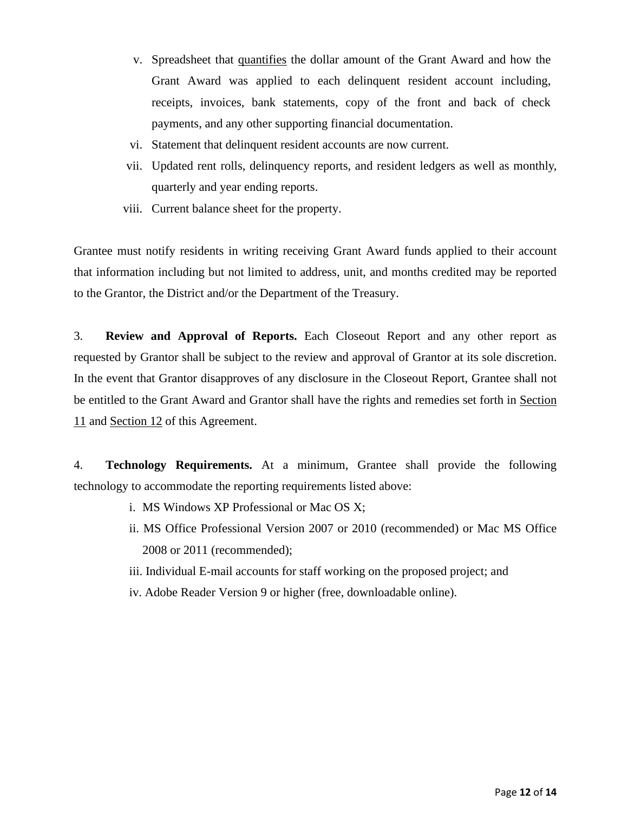- v. Spreadsheet that quantifies the dollar amount of the Grant Award and how the Grant Award was applied to each delinquent resident account including, receipts, invoices, bank statements, copy of the front and back of check payments, and any other supporting financial documentation.
- vi. Statement that delinquent resident accounts are now current.
- vii. Updated rent rolls, delinquency reports, and resident ledgers as well as monthly, quarterly and year ending reports.
- viii. Current balance sheet for the property.

Grantee must notify residents in writing receiving Grant Award funds applied to their account that information including but not limited to address, unit, and months credited may be reported to the Grantor, the District and/or the Department of the Treasury.

3. **Review and Approval of Reports.** Each Closeout Report and any other report as requested by Grantor shall be subject to the review and approval of Grantor at its sole discretion. In the event that Grantor disapproves of any disclosure in the Closeout Report, Grantee shall not be entitled to the Grant Award and Grantor shall have the rights and remedies set forth in Section 11 and Section 12 of this Agreement.

4. **Technology Requirements.** At a minimum, Grantee shall provide the following technology to accommodate the reporting requirements listed above:

- i. MS Windows XP Professional or Mac OS X;
- ii. MS Office Professional Version 2007 or 2010 (recommended) or Mac MS Office 2008 or 2011 (recommended);
- iii. Individual E-mail accounts for staff working on the proposed project; and
- iv. Adobe Reader Version 9 or higher (free, downloadable online).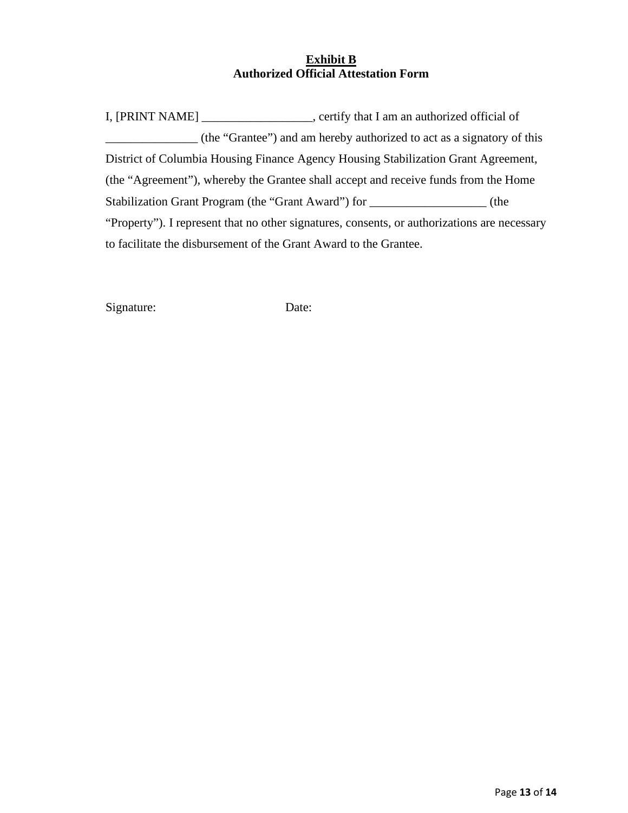## **Exhibit B Authorized Official Attestation Form**

I, [PRINT NAME] \_\_\_\_\_\_\_\_\_\_\_\_\_\_\_\_\_\_, certify that I am an authorized official of \_\_\_\_\_\_\_\_\_\_\_\_\_\_\_ (the "Grantee") and am hereby authorized to act as a signatory of this District of Columbia Housing Finance Agency Housing Stabilization Grant Agreement, (the "Agreement"), whereby the Grantee shall accept and receive funds from the Home Stabilization Grant Program (the "Grant Award") for \_\_\_\_\_\_\_\_\_\_\_\_\_\_\_\_\_\_\_\_\_\_ (the "Property"). I represent that no other signatures, consents, or authorizations are necessary to facilitate the disbursement of the Grant Award to the Grantee.

Signature: Date: